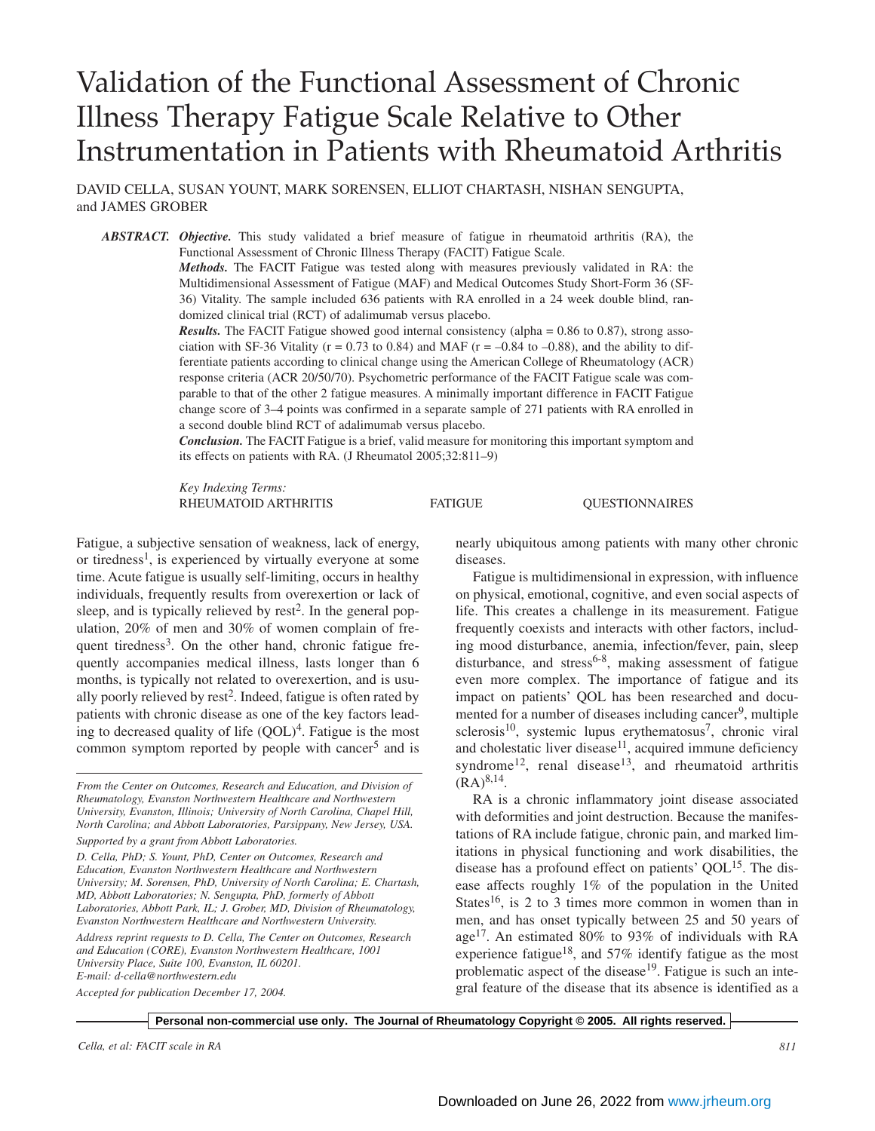# Validation of the Functional Assessment of Chronic Illness Therapy Fatigue Scale Relative to Other Instrumentation in Patients with Rheumatoid Arthritis

DAVID CELLA, SUSAN YOUNT, MARK SORENSEN, ELLIOT CHARTASH, NISHAN SENGUPTA, and JAMES GROBER

*ABSTRACT. Objective.* This study validated a brief measure of fatigue in rheumatoid arthritis (RA), the Functional Assessment of Chronic Illness Therapy (FACIT) Fatigue Scale.

> *Methods.* The FACIT Fatigue was tested along with measures previously validated in RA: the Multidimensional Assessment of Fatigue (MAF) and Medical Outcomes Study Short-Form 36 (SF-36) Vitality. The sample included 636 patients with RA enrolled in a 24 week double blind, randomized clinical trial (RCT) of adalimumab versus placebo.

> *Results.* The FACIT Fatigue showed good internal consistency (alpha = 0.86 to 0.87), strong association with SF-36 Vitality ( $r = 0.73$  to 0.84) and MAF ( $r = -0.84$  to  $-0.88$ ), and the ability to differentiate patients according to clinical change using the American College of Rheumatology (ACR) response criteria (ACR 20/50/70). Psychometric performance of the FACIT Fatigue scale was comparable to that of the other 2 fatigue measures. A minimally important difference in FACIT Fatigue change score of 3–4 points was confirmed in a separate sample of 271 patients with RA enrolled in a second double blind RCT of adalimumab versus placebo.

> *Conclusion.* The FACIT Fatigue is a brief, valid measure for monitoring this important symptom and its effects on patients with RA. (J Rheumatol 2005;32:811–9)

> *Key Indexing Terms:* RHEUMATOID ARTHRITIS FATIGUE QUESTIONNAIRES

Fatigue, a subjective sensation of weakness, lack of energy, or tiredness<sup>1</sup>, is experienced by virtually everyone at some time. Acute fatigue is usually self-limiting, occurs in healthy individuals, frequently results from overexertion or lack of sleep, and is typically relieved by rest<sup>2</sup>. In the general population, 20% of men and 30% of women complain of frequent tiredness<sup>3</sup>. On the other hand, chronic fatigue frequently accompanies medical illness, lasts longer than 6 months, is typically not related to overexertion, and is usually poorly relieved by rest<sup>2</sup>. Indeed, fatigue is often rated by patients with chronic disease as one of the key factors leading to decreased quality of life  $(QOL)^4$ . Fatigue is the most common symptom reported by people with cancer $5$  and is

*From the Center on Outcomes, Research and Education, and Division of Rheumatology, Evanston Northwestern Healthcare and Northwestern University, Evanston, Illinois; University of North Carolina, Chapel Hill, North Carolina; and Abbott Laboratories, Parsippany, New Jersey, USA. Supported by a grant from Abbott Laboratories.*

*D. Cella, PhD; S. Yount, PhD, Center on Outcomes, Research and Education, Evanston Northwestern Healthcare and Northwestern University; M. Sorensen, PhD, University of North Carolina; E. Chartash, MD, Abbott Laboratories; N. Sengupta, PhD, formerly of Abbott Laboratories, Abbott Park, IL; J. Grober, MD, Division of Rheumatology, Evanston Northwestern Healthcare and Northwestern University.*

*Address reprint requests to D. Cella, The Center on Outcomes, Research and Education (CORE), Evanston Northwestern Healthcare, 1001 University Place, Suite 100, Evanston, IL 60201. E-mail: d-cella@northwestern.edu*

*Accepted for publication December 17, 2004.*

nearly ubiquitous among patients with many other chronic diseases.

Fatigue is multidimensional in expression, with influence on physical, emotional, cognitive, and even social aspects of life. This creates a challenge in its measurement. Fatigue frequently coexists and interacts with other factors, including mood disturbance, anemia, infection/fever, pain, sleep disturbance, and stress<sup>6-8</sup>, making assessment of fatigue even more complex. The importance of fatigue and its impact on patients' QOL has been researched and documented for a number of diseases including cancer<sup>9</sup>, multiple  $sclerosis<sup>10</sup>$ , systemic lupus erythematosus<sup>7</sup>, chronic viral and cholestatic liver disease $11$ , acquired immune deficiency syndrome<sup>12</sup>, renal disease<sup>13</sup>, and rheumatoid arthritis  $(RA)^{8,14}$ .

RA is a chronic inflammatory joint disease associated with deformities and joint destruction. Because the manifestations of RA include fatigue, chronic pain, and marked limitations in physical functioning and work disabilities, the disease has a profound effect on patients'  $QOL<sup>15</sup>$ . The disease affects roughly 1% of the population in the United States<sup>16</sup>, is 2 to 3 times more common in women than in men, and has onset typically between 25 and 50 years of age17. An estimated 80% to 93% of individuals with RA experience fatigue<sup>18</sup>, and 57% identify fatigue as the most problematic aspect of the disease<sup>19</sup>. Fatigue is such an integral feature of the disease that its absence is identified as a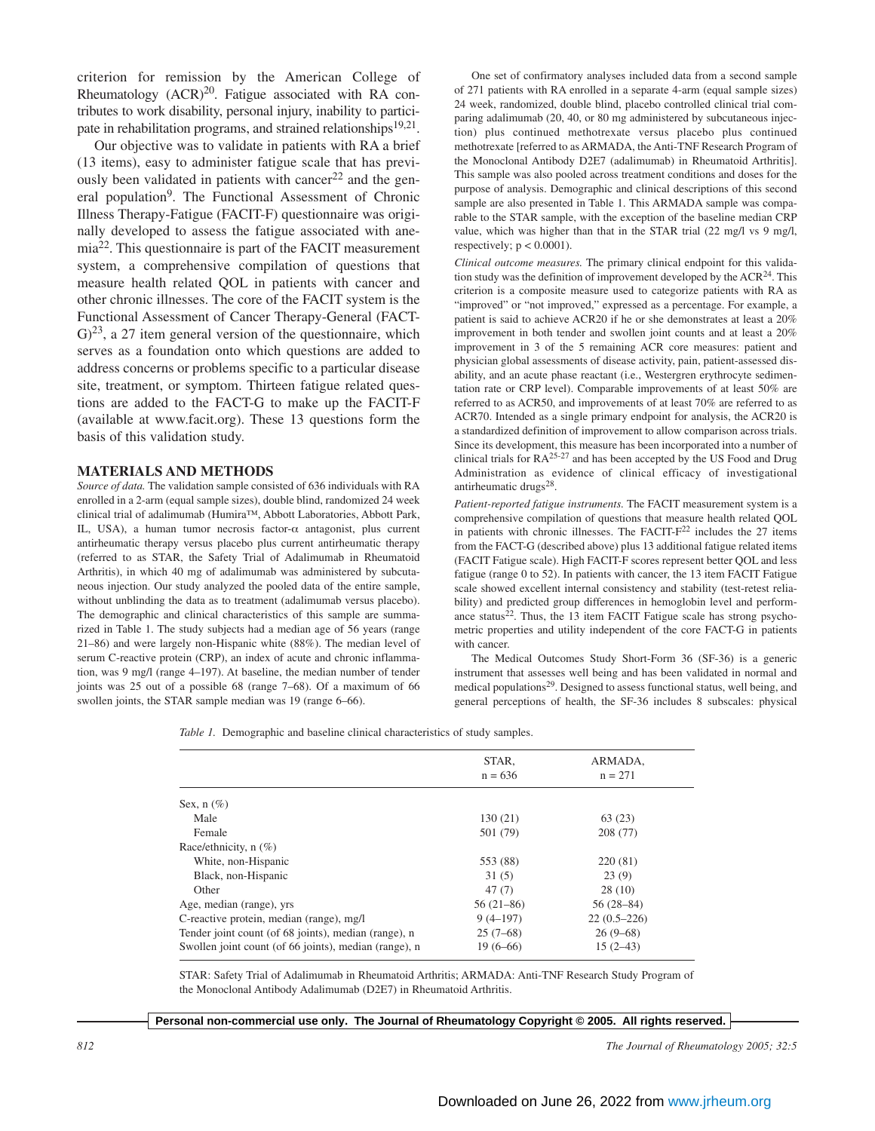criterion for remission by the American College of Rheumatology  $(ACR)^{20}$ . Fatigue associated with RA contributes to work disability, personal injury, inability to participate in rehabilitation programs, and strained relationships<sup>19,21</sup>.

Our objective was to validate in patients with RA a brief (13 items), easy to administer fatigue scale that has previously been validated in patients with cancer<sup>22</sup> and the general population9. The Functional Assessment of Chronic Illness Therapy-Fatigue (FACIT-F) questionnaire was originally developed to assess the fatigue associated with anemia22. This questionnaire is part of the FACIT measurement system, a comprehensive compilation of questions that measure health related QOL in patients with cancer and other chronic illnesses. The core of the FACIT system is the Functional Assessment of Cancer Therapy-General (FACT- $\mathfrak{G})^{23}$ , a 27 item general version of the questionnaire, which serves as a foundation onto which questions are added to address concerns or problems specific to a particular disease site, treatment, or symptom. Thirteen fatigue related questions are added to the FACT-G to make up the FACIT-F (available at www.facit.org). These 13 questions form the basis of this validation study.

### **MATERIALS AND METHODS**

*Source of data.* The validation sample consisted of 636 individuals with RA enrolled in a 2-arm (equal sample sizes), double blind, randomized 24 week clinical trial of adalimumab (Humira™, Abbott Laboratories, Abbott Park, IL, USA), a human tumor necrosis factor-α antagonist, plus current antirheumatic therapy versus placebo plus current antirheumatic therapy (referred to as STAR, the Safety Trial of Adalimumab in Rheumatoid Arthritis), in which 40 mg of adalimumab was administered by subcutaneous injection. Our study analyzed the pooled data of the entire sample, without unblinding the data as to treatment (adalimumab versus placebo). The demographic and clinical characteristics of this sample are summarized in Table 1. The study subjects had a median age of 56 years (range 21–86) and were largely non-Hispanic white (88%). The median level of serum C-reactive protein (CRP), an index of acute and chronic inflammation, was 9 mg/l (range 4–197). At baseline, the median number of tender joints was 25 out of a possible 68 (range 7–68). Of a maximum of 66 swollen joints, the STAR sample median was 19 (range 6–66).

One set of confirmatory analyses included data from a second sample of 271 patients with RA enrolled in a separate 4-arm (equal sample sizes) 24 week, randomized, double blind, placebo controlled clinical trial comparing adalimumab (20, 40, or 80 mg administered by subcutaneous injection) plus continued methotrexate versus placebo plus continued methotrexate [referred to as ARMADA, the Anti-TNF Research Program of the Monoclonal Antibody D2E7 (adalimumab) in Rheumatoid Arthritis]. This sample was also pooled across treatment conditions and doses for the purpose of analysis. Demographic and clinical descriptions of this second sample are also presented in Table 1. This ARMADA sample was comparable to the STAR sample, with the exception of the baseline median CRP value, which was higher than that in the STAR trial (22 mg/l vs 9 mg/l, respectively;  $p < 0.0001$ ).

*Clinical outcome measures.* The primary clinical endpoint for this validation study was the definition of improvement developed by the  $ACR<sup>24</sup>$ . This criterion is a composite measure used to categorize patients with RA as "improved" or "not improved," expressed as a percentage. For example, a patient is said to achieve ACR20 if he or she demonstrates at least a 20% improvement in both tender and swollen joint counts and at least a 20% improvement in 3 of the 5 remaining ACR core measures: patient and physician global assessments of disease activity, pain, patient-assessed disability, and an acute phase reactant (i.e., Westergren erythrocyte sedimentation rate or CRP level). Comparable improvements of at least 50% are referred to as ACR50, and improvements of at least 70% are referred to as ACR70. Intended as a single primary endpoint for analysis, the ACR20 is a standardized definition of improvement to allow comparison across trials. Since its development, this measure has been incorporated into a number of clinical trials for  $RA^{25-27}$  and has been accepted by the US Food and Drug Administration as evidence of clinical efficacy of investigational antirheumatic drugs<sup>28</sup>.

*Patient-reported fatigue instruments.* The FACIT measurement system is a comprehensive compilation of questions that measure health related QOL in patients with chronic illnesses. The FACIT- $F<sup>22</sup>$  includes the 27 items from the FACT-G (described above) plus 13 additional fatigue related items (FACIT Fatigue scale). High FACIT-F scores represent better QOL and less fatigue (range 0 to 52). In patients with cancer, the 13 item FACIT Fatigue scale showed excellent internal consistency and stability (test-retest reliability) and predicted group differences in hemoglobin level and performance status<sup>22</sup>. Thus, the 13 item FACIT Fatigue scale has strong psychometric properties and utility independent of the core FACT-G in patients with cancer.

The Medical Outcomes Study Short-Form 36 (SF-36) is a generic instrument that assesses well being and has been validated in normal and medical populations29. Designed to assess functional status, well being, and general perceptions of health, the SF-36 includes 8 subscales: physical

*Table 1.* Demographic and baseline clinical characteristics of study samples.

|                                                       | STAR,<br>$n = 636$ | ARMADA,<br>$n = 271$ |  |
|-------------------------------------------------------|--------------------|----------------------|--|
| Sex, $n$ $(\%)$                                       |                    |                      |  |
| Male                                                  | 130(21)            | 63 (23)              |  |
| Female                                                | 501 (79)           | 208 (77)             |  |
| Race/ethnicity, n (%)                                 |                    |                      |  |
| White, non-Hispanic                                   | 553 (88)           | 220(81)              |  |
| Black, non-Hispanic                                   | 31(5)              | 23(9)                |  |
| Other                                                 | 47(7)              | 28(10)               |  |
| Age, median (range), yrs                              | $56(21-86)$        | $56(28-84)$          |  |
| C-reactive protein, median (range), mg/l              | $9(4-197)$         | $22(0.5-226)$        |  |
| Tender joint count (of 68 joints), median (range), n  | $25(7-68)$         | $26(9-68)$           |  |
| Swollen joint count (of 66 joints), median (range), n | $19(6-66)$         | $15(2-43)$           |  |
|                                                       |                    |                      |  |

STAR: Safety Trial of Adalimumab in Rheumatoid Arthritis; ARMADA: Anti-TNF Research Study Program of the Monoclonal Antibody Adalimumab (D2E7) in Rheumatoid Arthritis.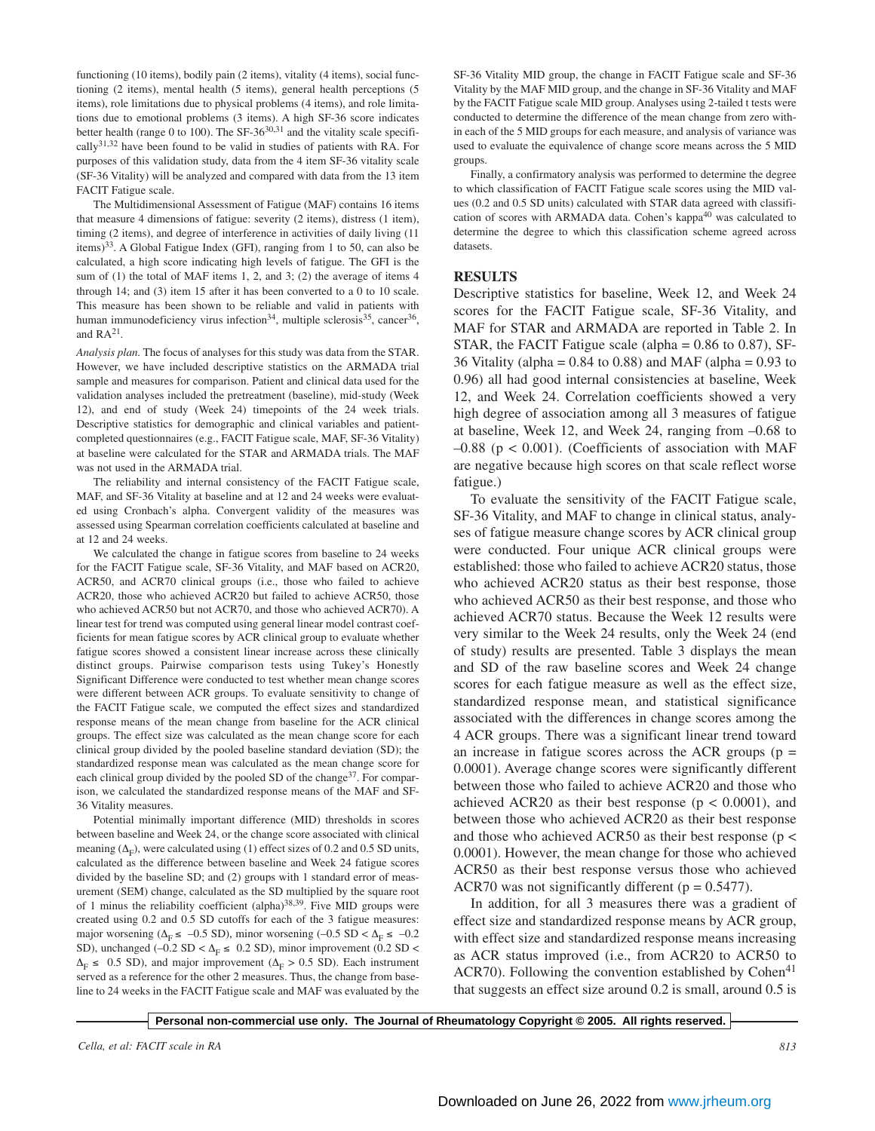functioning (10 items), bodily pain (2 items), vitality (4 items), social functioning (2 items), mental health (5 items), general health perceptions (5 items), role limitations due to physical problems (4 items), and role limitations due to emotional problems (3 items). A high SF-36 score indicates better health (range 0 to 100). The  $SF-36^{30,31}$  and the vitality scale specifically $31,32$  have been found to be valid in studies of patients with RA. For purposes of this validation study, data from the 4 item SF-36 vitality scale (SF-36 Vitality) will be analyzed and compared with data from the 13 item FACIT Fatigue scale.

The Multidimensional Assessment of Fatigue (MAF) contains 16 items that measure 4 dimensions of fatigue: severity (2 items), distress (1 item), timing (2 items), and degree of interference in activities of daily living (11 items)33. A Global Fatigue Index (GFI), ranging from 1 to 50, can also be calculated, a high score indicating high levels of fatigue. The GFI is the sum of (1) the total of MAF items 1, 2, and 3; (2) the average of items 4 through 14; and (3) item 15 after it has been converted to a 0 to 10 scale. This measure has been shown to be reliable and valid in patients with human immunodeficiency virus infection<sup>34</sup>, multiple sclerosis<sup>35</sup>, cancer<sup>36</sup>, and  $RA^{21}$ .

*Analysis plan.* The focus of analyses for this study was data from the STAR. However, we have included descriptive statistics on the ARMADA trial sample and measures for comparison. Patient and clinical data used for the validation analyses included the pretreatment (baseline), mid-study (Week 12), and end of study (Week 24) timepoints of the 24 week trials. Descriptive statistics for demographic and clinical variables and patientcompleted questionnaires (e.g., FACIT Fatigue scale, MAF, SF-36 Vitality) at baseline were calculated for the STAR and ARMADA trials. The MAF was not used in the ARMADA trial.

The reliability and internal consistency of the FACIT Fatigue scale, MAF, and SF-36 Vitality at baseline and at 12 and 24 weeks were evaluated using Cronbach's alpha. Convergent validity of the measures was assessed using Spearman correlation coefficients calculated at baseline and at 12 and 24 weeks.

We calculated the change in fatigue scores from baseline to 24 weeks for the FACIT Fatigue scale, SF-36 Vitality, and MAF based on ACR20, ACR50, and ACR70 clinical groups (i.e., those who failed to achieve ACR20, those who achieved ACR20 but failed to achieve ACR50, those who achieved ACR50 but not ACR70, and those who achieved ACR70). A linear test for trend was computed using general linear model contrast coefficients for mean fatigue scores by ACR clinical group to evaluate whether fatigue scores showed a consistent linear increase across these clinically distinct groups. Pairwise comparison tests using Tukey's Honestly Significant Difference were conducted to test whether mean change scores were different between ACR groups. To evaluate sensitivity to change of the FACIT Fatigue scale, we computed the effect sizes and standardized response means of the mean change from baseline for the ACR clinical groups. The effect size was calculated as the mean change score for each clinical group divided by the pooled baseline standard deviation (SD); the standardized response mean was calculated as the mean change score for each clinical group divided by the pooled SD of the change<sup>37</sup>. For comparison, we calculated the standardized response means of the MAF and SF-36 Vitality measures.

Potential minimally important difference (MID) thresholds in scores between baseline and Week 24, or the change score associated with clinical meaning ( $\Delta_F$ ), were calculated using (1) effect sizes of 0.2 and 0.5 SD units, calculated as the difference between baseline and Week 24 fatigue scores divided by the baseline SD; and (2) groups with 1 standard error of measurement (SEM) change, calculated as the SD multiplied by the square root of 1 minus the reliability coefficient (alpha) $38,39$ . Five MID groups were created using 0.2 and 0.5 SD cutoffs for each of the 3 fatigue measures: major worsening ( $\Delta_F$  ≤ –0.5 SD), minor worsening (–0.5 SD <  $\Delta_F$  ≤ –0.2 SD), unchanged (–0.2 SD <  $\Delta_F \leq$  0.2 SD), minor improvement (0.2 SD <  $\Delta_F$  ≤ 0.5 SD), and major improvement ( $\Delta_F$  > 0.5 SD). Each instrument served as a reference for the other 2 measures. Thus, the change from baseline to 24 weeks in the FACIT Fatigue scale and MAF was evaluated by the

SF-36 Vitality MID group, the change in FACIT Fatigue scale and SF-36 Vitality by the MAF MID group, and the change in SF-36 Vitality and MAF by the FACIT Fatigue scale MID group. Analyses using 2-tailed t tests were conducted to determine the difference of the mean change from zero within each of the 5 MID groups for each measure, and analysis of variance was used to evaluate the equivalence of change score means across the 5 MID groups.

Finally, a confirmatory analysis was performed to determine the degree to which classification of FACIT Fatigue scale scores using the MID values (0.2 and 0.5 SD units) calculated with STAR data agreed with classification of scores with ARMADA data. Cohen's kappa<sup>40</sup> was calculated to determine the degree to which this classification scheme agreed across datasets.

### **RESULTS**

Descriptive statistics for baseline, Week 12, and Week 24 scores for the FACIT Fatigue scale, SF-36 Vitality, and MAF for STAR and ARMADA are reported in Table 2. In STAR, the FACIT Fatigue scale (alpha = 0.86 to 0.87), SF-36 Vitality (alpha =  $0.84$  to  $0.88$ ) and MAF (alpha =  $0.93$  to 0.96) all had good internal consistencies at baseline, Week 12, and Week 24. Correlation coefficients showed a very high degree of association among all 3 measures of fatigue at baseline, Week 12, and Week 24, ranging from –0.68 to  $-0.88$  (p < 0.001). (Coefficients of association with MAF are negative because high scores on that scale reflect worse fatigue.)

To evaluate the sensitivity of the FACIT Fatigue scale, SF-36 Vitality, and MAF to change in clinical status, analyses of fatigue measure change scores by ACR clinical group were conducted. Four unique ACR clinical groups were established: those who failed to achieve ACR20 status, those who achieved ACR20 status as their best response, those who achieved ACR50 as their best response, and those who achieved ACR70 status. Because the Week 12 results were very similar to the Week 24 results, only the Week 24 (end of study) results are presented. Table 3 displays the mean and SD of the raw baseline scores and Week 24 change scores for each fatigue measure as well as the effect size, standardized response mean, and statistical significance associated with the differences in change scores among the 4 ACR groups. There was a significant linear trend toward an increase in fatigue scores across the ACR groups ( $p =$ 0.0001). Average change scores were significantly different between those who failed to achieve ACR20 and those who achieved ACR20 as their best response ( $p < 0.0001$ ), and between those who achieved ACR20 as their best response and those who achieved ACR50 as their best response ( $p <$ 0.0001). However, the mean change for those who achieved ACR50 as their best response versus those who achieved ACR70 was not significantly different ( $p = 0.5477$ ).

In addition, for all 3 measures there was a gradient of effect size and standardized response means by ACR group, with effect size and standardized response means increasing as ACR status improved (i.e., from ACR20 to ACR50 to ACR70). Following the convention established by  $Cohen<sup>41</sup>$ that suggests an effect size around 0.2 is small, around 0.5 is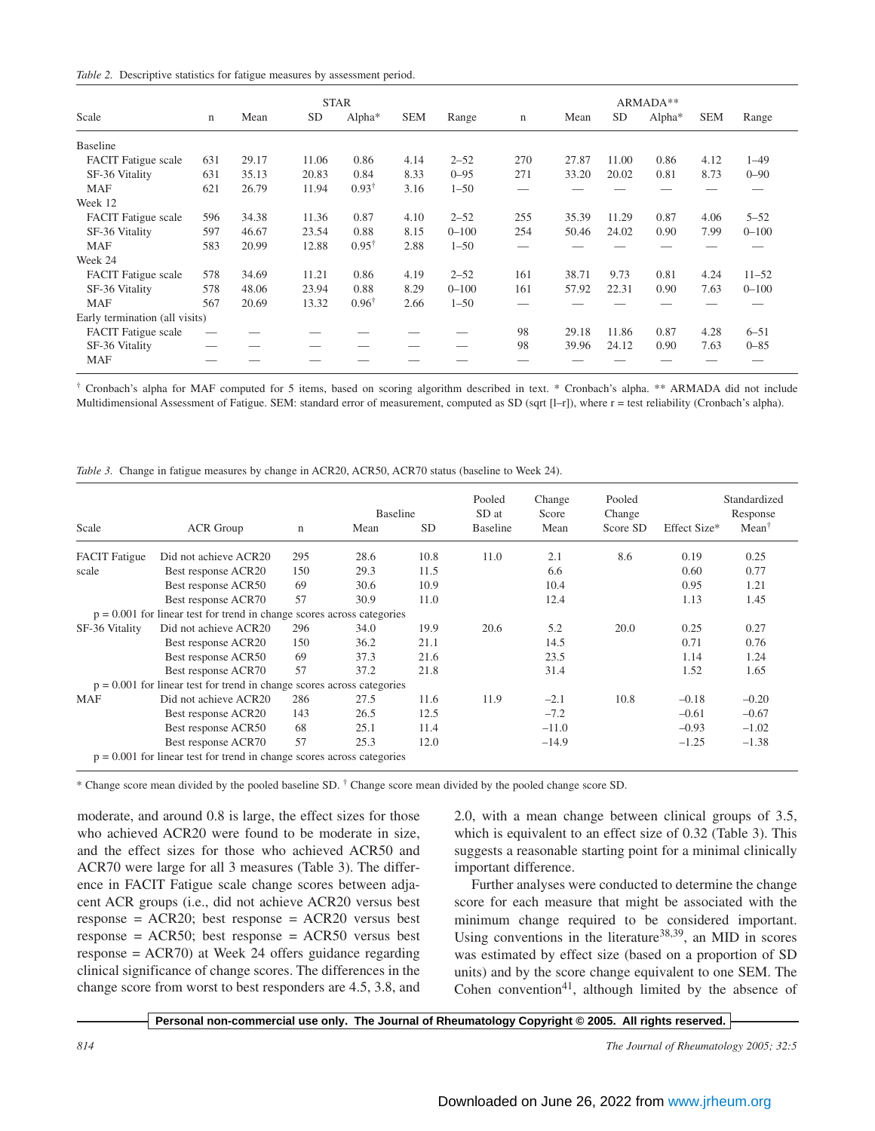|  | Table 2. Descriptive statistics for fatigue measures by assessment period. |  |  |  |
|--|----------------------------------------------------------------------------|--|--|--|
|  |                                                                            |  |  |  |

| <b>STAR</b>                    |       |           |                    |            |           | ARMADA**    |       |       |                    |            |           |
|--------------------------------|-------|-----------|--------------------|------------|-----------|-------------|-------|-------|--------------------|------------|-----------|
| n                              | Mean  | <b>SD</b> | Alpha <sup>*</sup> | <b>SEM</b> | Range     | $\mathbf n$ | Mean  | SD    | Alpha <sup>*</sup> | <b>SEM</b> | Range     |
|                                |       |           |                    |            |           |             |       |       |                    |            |           |
| 631                            | 29.17 | 11.06     | 0.86               | 4.14       | $2 - 52$  | 270         | 27.87 | 11.00 | 0.86               | 4.12       | $1 - 49$  |
| 631                            | 35.13 | 20.83     | 0.84               | 8.33       | $0 - 95$  | 271         | 33.20 | 20.02 | 0.81               | 8.73       | $0 - 90$  |
| 621                            | 26.79 | 11.94     | $0.93^{\dagger}$   | 3.16       | $1 - 50$  |             |       |       |                    |            |           |
|                                |       |           |                    |            |           |             |       |       |                    |            |           |
| 596                            | 34.38 | 11.36     | 0.87               | 4.10       | $2 - 52$  | 255         | 35.39 | 11.29 | 0.87               | 4.06       | $5 - 52$  |
| 597                            | 46.67 | 23.54     | 0.88               | 8.15       | $0 - 100$ | 254         | 50.46 | 24.02 | 0.90               | 7.99       | $0 - 100$ |
| 583                            | 20.99 | 12.88     | $0.95^{\dagger}$   | 2.88       | $1 - 50$  |             |       |       |                    |            |           |
|                                |       |           |                    |            |           |             |       |       |                    |            |           |
| 578                            | 34.69 | 11.21     | 0.86               | 4.19       | $2 - 52$  | 161         | 38.71 | 9.73  | 0.81               | 4.24       | $11 - 52$ |
| 578                            | 48.06 | 23.94     | 0.88               | 8.29       | $0 - 100$ | 161         | 57.92 | 22.31 | 0.90               | 7.63       | $0 - 100$ |
| 567                            | 20.69 | 13.32     | $0.96^{\dagger}$   | 2.66       | $1 - 50$  |             |       |       |                    |            |           |
| Early termination (all visits) |       |           |                    |            |           |             |       |       |                    |            |           |
|                                |       |           |                    |            |           | 98          | 29.18 | 11.86 | 0.87               | 4.28       | $6 - 51$  |
|                                |       |           |                    |            |           | 98          | 39.96 | 24.12 | 0.90               | 7.63       | $0 - 85$  |
|                                |       |           |                    |            |           |             |       |       |                    |            |           |
|                                |       |           |                    |            |           |             |       |       |                    |            |           |

† Cronbach's alpha for MAF computed for 5 items, based on scoring algorithm described in text. \* Cronbach's alpha. \*\* ARMADA did not include Multidimensional Assessment of Fatigue. SEM: standard error of measurement, computed as SD (sqrt [l–r]), where r = test reliability (Cronbach's alpha).

|  |  |  |  |  | Table 3. Change in fatigue measures by change in ACR20, ACR50, ACR70 status (baseline to Week 24). |  |  |
|--|--|--|--|--|----------------------------------------------------------------------------------------------------|--|--|
|  |  |  |  |  |                                                                                                    |  |  |
|  |  |  |  |  |                                                                                                    |  |  |

| Scale                | <b>ACR</b> Group                                                         | $\mathbf n$ | <b>Baseline</b><br>Mean | <b>SD</b> | Pooled<br>SD at<br><b>Baseline</b> | Change<br>Score<br>Mean | Pooled<br>Change<br>Score SD | Effect Size* | Standardized<br>Response<br>$Mean^{\dagger}$ |
|----------------------|--------------------------------------------------------------------------|-------------|-------------------------|-----------|------------------------------------|-------------------------|------------------------------|--------------|----------------------------------------------|
| <b>FACIT</b> Fatigue | Did not achieve ACR20                                                    | 295         | 28.6                    | 10.8      | 11.0                               | 2.1                     | 8.6                          | 0.19         | 0.25                                         |
| scale                | Best response ACR20                                                      | 150         | 29.3                    | 11.5      |                                    | 6.6                     |                              | 0.60         | 0.77                                         |
|                      | Best response ACR50                                                      | 69          | 30.6                    | 10.9      |                                    | 10.4                    |                              | 0.95         | 1.21                                         |
|                      | Best response ACR70                                                      | 57          | 30.9                    | 11.0      |                                    | 12.4                    |                              | 1.13         | 1.45                                         |
|                      | $p = 0.001$ for linear test for trend in change scores across categories |             |                         |           |                                    |                         |                              |              |                                              |
| SF-36 Vitality       | Did not achieve ACR20                                                    | 296         | 34.0                    | 19.9      | 20.6                               | 5.2                     | 20.0                         | 0.25         | 0.27                                         |
|                      | Best response ACR20                                                      | 150         | 36.2                    | 21.1      |                                    | 14.5                    |                              | 0.71         | 0.76                                         |
|                      | Best response ACR50                                                      | 69          | 37.3                    | 21.6      |                                    | 23.5                    |                              | 1.14         | 1.24                                         |
|                      | Best response ACR70                                                      | 57          | 37.2                    | 21.8      |                                    | 31.4                    |                              | 1.52         | 1.65                                         |
|                      | $p = 0.001$ for linear test for trend in change scores across categories |             |                         |           |                                    |                         |                              |              |                                              |
| <b>MAF</b>           | Did not achieve ACR20                                                    | 286         | 27.5                    | 11.6      | 11.9                               | $-2.1$                  | 10.8                         | $-0.18$      | $-0.20$                                      |
|                      | Best response ACR20                                                      | 143         | 26.5                    | 12.5      |                                    | $-7.2$                  |                              | $-0.61$      | $-0.67$                                      |
|                      | Best response ACR50                                                      | 68          | 25.1                    | 11.4      |                                    | $-11.0$                 |                              | $-0.93$      | $-1.02$                                      |
|                      | Best response ACR70                                                      | 57          | 25.3                    | 12.0      |                                    | $-14.9$                 |                              | $-1.25$      | $-1.38$                                      |
|                      | $p = 0.001$ for linear test for trend in change scores across categories |             |                         |           |                                    |                         |                              |              |                                              |

\* Change score mean divided by the pooled baseline SD. † Change score mean divided by the pooled change score SD.

moderate, and around 0.8 is large, the effect sizes for those who achieved ACR20 were found to be moderate in size, and the effect sizes for those who achieved ACR50 and ACR70 were large for all 3 measures (Table 3). The difference in FACIT Fatigue scale change scores between adjacent ACR groups (i.e., did not achieve ACR20 versus best response =  $ACR20$ ; best response =  $ACR20$  versus best response =  $ACR50$ ; best response =  $ACR50$  versus best response = ACR70) at Week 24 offers guidance regarding clinical significance of change scores. The differences in the change score from worst to best responders are 4.5, 3.8, and 2.0, with a mean change between clinical groups of 3.5, which is equivalent to an effect size of 0.32 (Table 3). This suggests a reasonable starting point for a minimal clinically important difference.

Further analyses were conducted to determine the change score for each measure that might be associated with the minimum change required to be considered important. Using conventions in the literature<sup>38,39</sup>, an MID in scores was estimated by effect size (based on a proportion of SD units) and by the score change equivalent to one SEM. The Cohen convention<sup>41</sup>, although limited by the absence of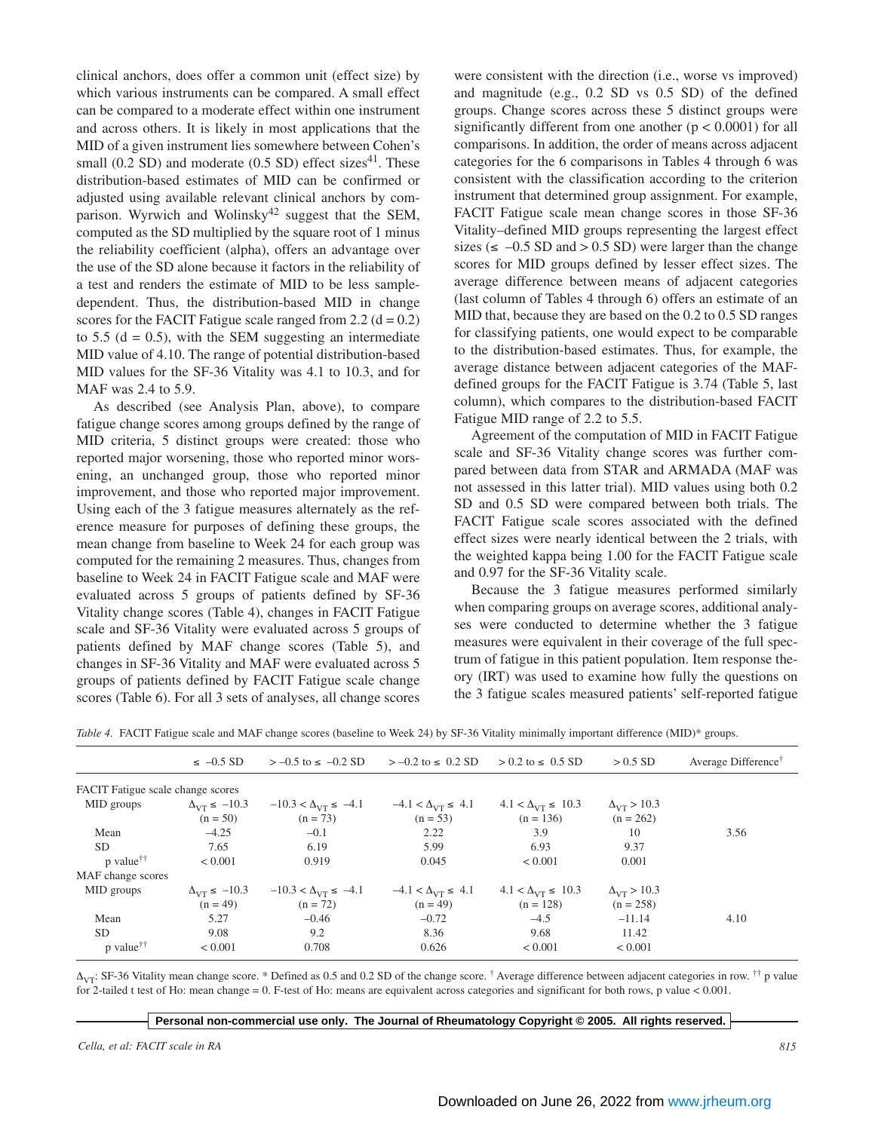clinical anchors, does offer a common unit (effect size) by which various instruments can be compared. A small effect can be compared to a moderate effect within one instrument and across others. It is likely in most applications that the MID of a given instrument lies somewhere between Cohen's small  $(0.2$  SD) and moderate  $(0.5$  SD) effect sizes<sup>41</sup>. These distribution-based estimates of MID can be confirmed or adjusted using available relevant clinical anchors by comparison. Wyrwich and Wolinsky<sup>42</sup> suggest that the SEM, computed as the SD multiplied by the square root of 1 minus the reliability coefficient (alpha), offers an advantage over the use of the SD alone because it factors in the reliability of a test and renders the estimate of MID to be less sampledependent. Thus, the distribution-based MID in change scores for the FACIT Fatigue scale ranged from 2.2 ( $d = 0.2$ ) to 5.5 ( $d = 0.5$ ), with the SEM suggesting an intermediate MID value of 4.10. The range of potential distribution-based MID values for the SF-36 Vitality was 4.1 to 10.3, and for MAF was 2.4 to 5.9.

As described (see Analysis Plan, above), to compare fatigue change scores among groups defined by the range of MID criteria, 5 distinct groups were created: those who reported major worsening, those who reported minor worsening, an unchanged group, those who reported minor improvement, and those who reported major improvement. Using each of the 3 fatigue measures alternately as the reference measure for purposes of defining these groups, the mean change from baseline to Week 24 for each group was computed for the remaining 2 measures. Thus, changes from baseline to Week 24 in FACIT Fatigue scale and MAF were evaluated across 5 groups of patients defined by SF-36 Vitality change scores (Table 4), changes in FACIT Fatigue scale and SF-36 Vitality were evaluated across 5 groups of patients defined by MAF change scores (Table 5), and changes in SF-36 Vitality and MAF were evaluated across 5 groups of patients defined by FACIT Fatigue scale change scores (Table 6). For all 3 sets of analyses, all change scores were consistent with the direction (i.e., worse vs improved) and magnitude (e.g., 0.2 SD vs 0.5 SD) of the defined groups. Change scores across these 5 distinct groups were significantly different from one another ( $p < 0.0001$ ) for all comparisons. In addition, the order of means across adjacent categories for the 6 comparisons in Tables 4 through 6 was consistent with the classification according to the criterion instrument that determined group assignment. For example, FACIT Fatigue scale mean change scores in those SF-36 Vitality–defined MID groups representing the largest effect sizes ( $\leq -0.5$  SD and  $> 0.5$  SD) were larger than the change scores for MID groups defined by lesser effect sizes. The average difference between means of adjacent categories (last column of Tables 4 through 6) offers an estimate of an MID that, because they are based on the 0.2 to 0.5 SD ranges for classifying patients, one would expect to be comparable to the distribution-based estimates. Thus, for example, the average distance between adjacent categories of the MAFdefined groups for the FACIT Fatigue is 3.74 (Table 5, last column), which compares to the distribution-based FACIT Fatigue MID range of 2.2 to 5.5.

Agreement of the computation of MID in FACIT Fatigue scale and SF-36 Vitality change scores was further compared between data from STAR and ARMADA (MAF was not assessed in this latter trial). MID values using both 0.2 SD and 0.5 SD were compared between both trials. The FACIT Fatigue scale scores associated with the defined effect sizes were nearly identical between the 2 trials, with the weighted kappa being 1.00 for the FACIT Fatigue scale and 0.97 for the SF-36 Vitality scale.

Because the 3 fatigue measures performed similarly when comparing groups on average scores, additional analyses were conducted to determine whether the 3 fatigue measures were equivalent in their coverage of the full spectrum of fatigue in this patient population. Item response theory (IRT) was used to examine how fully the questions on the 3 fatigue scales measured patients' self-reported fatigue

*Table 4.* FACIT Fatigue scale and MAF change scores (baseline to Week 24) by SF-36 Vitality minimally important difference (MID)\* groups.

|                                   | $\leq -0.5$ SD                                | $> -0.5$ to $\le -0.2$ SD                    | $> -0.2$ to $\leq 0.2$ SD                  | $> 0.2$ to $\leq 0.5$ SD                     | $> 0.5$ SD                              | Average Difference <sup>†</sup> |
|-----------------------------------|-----------------------------------------------|----------------------------------------------|--------------------------------------------|----------------------------------------------|-----------------------------------------|---------------------------------|
| FACIT Fatigue scale change scores |                                               |                                              |                                            |                                              |                                         |                                 |
| MID groups                        | $\Delta_{VT} \leq -10.3$<br>$(n = 50)$        | $-10.3 < \Delta_{V} \le -4.1$<br>$(n = 73)$  | $-4.1 < \Delta_{VT} \le 4.1$<br>$(n = 53)$ | $4.1 < \Delta_{VT} \leq 10.3$<br>$(n = 136)$ | $\Delta_{\rm VT} > 10.3$<br>$(n = 262)$ |                                 |
| Mean                              | $-4.25$                                       | $-0.1$                                       | 2.22                                       | 3.9                                          | 10                                      | 3.56                            |
| SD.                               | 7.65                                          | 6.19                                         | 5.99                                       | 6.93                                         | 9.37                                    |                                 |
| $p$ value <sup>††</sup>           | ${}_{0.001}$                                  | 0.919                                        | 0.045                                      | ${}_{0.001}$                                 | 0.001                                   |                                 |
| MAF change scores                 |                                               |                                              |                                            |                                              |                                         |                                 |
| MID groups                        | $\Delta_{V\text{T}} \leq -10.3$<br>$(n = 49)$ | $-10.3 < \Delta_{VT} \le -4.1$<br>$(n = 72)$ | $-4.1 < \Delta_{VT} \le 4.1$<br>$(n = 49)$ | $4.1 < \Delta_{VT} \leq 10.3$<br>$(n = 128)$ | $\Delta_{\rm VT} > 10.3$<br>$(n = 258)$ |                                 |
| Mean                              | 5.27                                          | $-0.46$                                      | $-0.72$                                    | $-4.5$                                       | $-11.14$                                | 4.10                            |
| <b>SD</b>                         | 9.08                                          | 9.2                                          | 8.36                                       | 9.68                                         | 11.42                                   |                                 |
| $p$ value <sup>††</sup>           | ${}< 0.001$                                   | 0.708                                        | 0.626                                      | ${}_{0.001}$                                 | < 0.001                                 |                                 |

 $\Delta_{\text{VT}}$ : SF-36 Vitality mean change score. \* Defined as 0.5 and 0.2 SD of the change score. † Average difference between adjacent categories in row. †† p value for 2-tailed t test of Ho: mean change = 0. F-test of Ho: means are equivalent across categories and significant for both rows, p value < 0.001.

**Personal non-commercial use only. The Journal of Rheumatology Copyright © 2005. All rights reserved.**

*Cella, et al: FACIT scale in RA 815*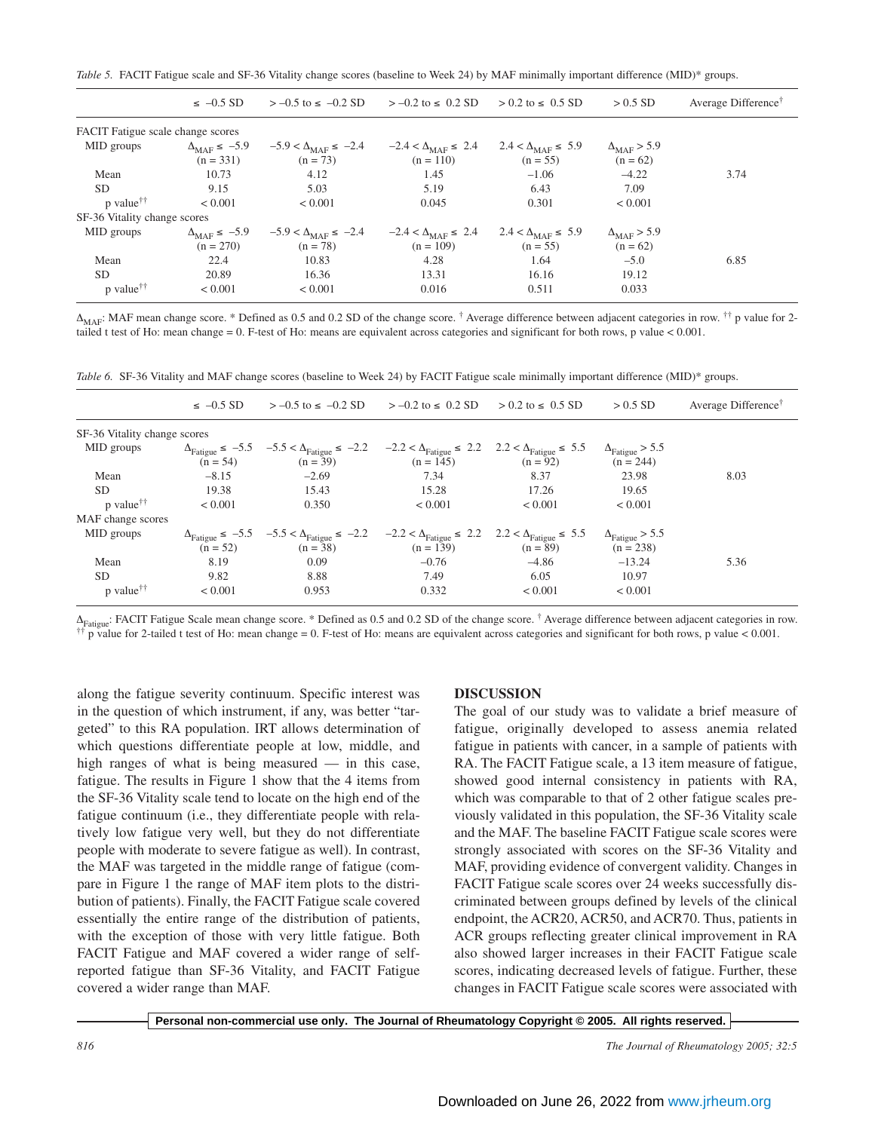*Table 5.* FACIT Fatigue scale and SF-36 Vitality change scores (baseline to Week 24) by MAF minimally important difference (MID)\* groups.

|                                   | $\leq -0.5$ SD                                 | $> -0.5$ to $\le -0.2$ SD                           | $>-0.2$ to $\leq 0.2$ SD                             | $> 0.2$ to $\leq 0.5$ SD                           | $> 0.5$ SD                                | Average Difference <sup>†</sup> |
|-----------------------------------|------------------------------------------------|-----------------------------------------------------|------------------------------------------------------|----------------------------------------------------|-------------------------------------------|---------------------------------|
| FACIT Fatigue scale change scores |                                                |                                                     |                                                      |                                                    |                                           |                                 |
| MID groups                        | $\Delta_{\text{MAF}} \leq -5.9$<br>$(n = 331)$ | $-5.9 < \Delta_{\text{MAE}} \le -2.4$<br>$(n = 73)$ | $-2.4 < \Delta_{\text{MAE}} \leq 2.4$<br>$(n = 110)$ | $2.4 < \Delta_{\text{MAF}} \leq 5.9$<br>$(n = 55)$ | $\Delta_{\text{MAF}} > 5.9$<br>$(n = 62)$ |                                 |
| Mean                              | 10.73                                          | 4.12                                                | 1.45                                                 | $-1.06$                                            | $-4.22$                                   | 3.74                            |
| <b>SD</b>                         | 9.15                                           | 5.03                                                | 5.19                                                 | 6.43                                               | 7.09                                      |                                 |
| $p$ value <sup>††</sup>           | ${}_{0.001}$                                   | < 0.001                                             | 0.045                                                | 0.301                                              | ${}< 0.001$                               |                                 |
| SF-36 Vitality change scores      |                                                |                                                     |                                                      |                                                    |                                           |                                 |
| MID groups                        | $\Delta_{\text{MAF}} \leq -5.9$<br>$(n = 270)$ | $-5.9 < \Delta_{\text{MAF}} \le -2.4$<br>$(n = 78)$ | $-2.4 < \Delta_{\text{MAF}} \leq 2.4$<br>$(n = 109)$ | $2.4 < \Delta_{\text{MAF}} \leq 5.9$<br>$(n = 55)$ | $\Delta_{\text{MAF}}$ > 5.9<br>$(n = 62)$ |                                 |
| Mean                              | 22.4                                           | 10.83                                               | 4.28                                                 | 1.64                                               | $-5.0$                                    | 6.85                            |
| <b>SD</b>                         | 20.89                                          | 16.36                                               | 13.31                                                | 16.16                                              | 19.12                                     |                                 |
| $p$ value <sup>††</sup>           | ${}< 0.001$                                    | ${}_{0.001}$                                        | 0.016                                                | 0.511                                              | 0.033                                     |                                 |

 $\Delta_{\text{MAP}}$ : MAF mean change score. \* Defined as 0.5 and 0.2 SD of the change score. † Average difference between adjacent categories in row. †† p value for 2tailed t test of Ho: mean change = 0. F-test of Ho: means are equivalent across categories and significant for both rows, p value < 0.001.

*Table 6.* SF-36 Vitality and MAF change scores (baseline to Week 24) by FACIT Fatigue scale minimally important difference (MID)\* groups.

|                              | $\leq -0.5$ SD | $>-0.5$ to $\le -0.2$ SD                                                                                                                                                    | $>-0.2$ to $\leq 0.2$ SD | $> 0.2$ to $\leq 0.5$ SD | $> 0.5$ SD                                     | Average Difference <sup>†</sup> |
|------------------------------|----------------|-----------------------------------------------------------------------------------------------------------------------------------------------------------------------------|--------------------------|--------------------------|------------------------------------------------|---------------------------------|
| SF-36 Vitality change scores |                |                                                                                                                                                                             |                          |                          |                                                |                                 |
| MID groups                   | $(n = 54)$     | $\Delta_{\text{Fatigue}} \le -5.5$ $-5.5 < \Delta_{\text{Fatigue}} \le -2.2$ $-2.2 < \Delta_{\text{Fatique}} \le 2.2$ $2.2 < \Delta_{\text{Fatigue}} \le 5.5$<br>$(n = 39)$ | $(n = 145)$              | $(n = 92)$               | $\Delta_{\text{Fatigue}}$ > 5.5<br>$(n = 244)$ |                                 |
| Mean                         | $-8.15$        | $-2.69$                                                                                                                                                                     | 7.34                     | 8.37                     | 23.98                                          | 8.03                            |
| SD.                          | 19.38          | 15.43                                                                                                                                                                       | 15.28                    | 17.26                    | 19.65                                          |                                 |
| $p$ value <sup>††</sup>      | ${}< 0.001$    | 0.350                                                                                                                                                                       | ${}< 0.001$              | ${}< 0.001$              | < 0.001                                        |                                 |
| MAF change scores            |                |                                                                                                                                                                             |                          |                          |                                                |                                 |
| MID groups                   | $(n = 52)$     | $\Delta_{\text{Fatigue}} \le -5.5$ $-5.5 < \Delta_{\text{Fatigue}} \le -2.2$ $-2.2 < \Delta_{\text{Fatique}} \le 2.2$ $2.2 < \Delta_{\text{Fatigue}} \le 5.5$<br>$(n = 38)$ | $(n = 139)$              | $(n = 89)$               | $\Delta_{\text{Fatigue}}$ > 5.5<br>$(n = 238)$ |                                 |
| Mean                         | 8.19           | 0.09                                                                                                                                                                        | $-0.76$                  | $-4.86$                  | $-13.24$                                       | 5.36                            |
| <b>SD</b>                    | 9.82           | 8.88                                                                                                                                                                        | 7.49                     | 6.05                     | 10.97                                          |                                 |
| $p$ value <sup>††</sup>      | ${}_{0.001}$   | 0.953                                                                                                                                                                       | 0.332                    | ${}_{0.001}$             | < 0.001                                        |                                 |

 $\Delta_{\text{Fatique}}$ : FACIT Fatigue Scale mean change score. \* Defined as 0.5 and 0.2 SD of the change score. † Average difference between adjacent categories in row. †† p value for 2-tailed t test of Ho: mean change = 0. F-test of Ho: means are equivalent across categories and significant for both rows, p value < 0.001.

along the fatigue severity continuum. Specific interest was in the question of which instrument, if any, was better "targeted" to this RA population. IRT allows determination of which questions differentiate people at low, middle, and high ranges of what is being measured — in this case, fatigue. The results in Figure 1 show that the 4 items from the SF-36 Vitality scale tend to locate on the high end of the fatigue continuum (i.e., they differentiate people with relatively low fatigue very well, but they do not differentiate people with moderate to severe fatigue as well). In contrast, the MAF was targeted in the middle range of fatigue (compare in Figure 1 the range of MAF item plots to the distribution of patients). Finally, the FACIT Fatigue scale covered essentially the entire range of the distribution of patients, with the exception of those with very little fatigue. Both FACIT Fatigue and MAF covered a wider range of selfreported fatigue than SF-36 Vitality, and FACIT Fatigue covered a wider range than MAF.

## **DISCUSSION**

The goal of our study was to validate a brief measure of fatigue, originally developed to assess anemia related fatigue in patients with cancer, in a sample of patients with RA. The FACIT Fatigue scale, a 13 item measure of fatigue, showed good internal consistency in patients with RA, which was comparable to that of 2 other fatigue scales previously validated in this population, the SF-36 Vitality scale and the MAF. The baseline FACIT Fatigue scale scores were strongly associated with scores on the SF-36 Vitality and MAF, providing evidence of convergent validity. Changes in FACIT Fatigue scale scores over 24 weeks successfully discriminated between groups defined by levels of the clinical endpoint, the ACR20, ACR50, and ACR70. Thus, patients in ACR groups reflecting greater clinical improvement in RA also showed larger increases in their FACIT Fatigue scale scores, indicating decreased levels of fatigue. Further, these changes in FACIT Fatigue scale scores were associated with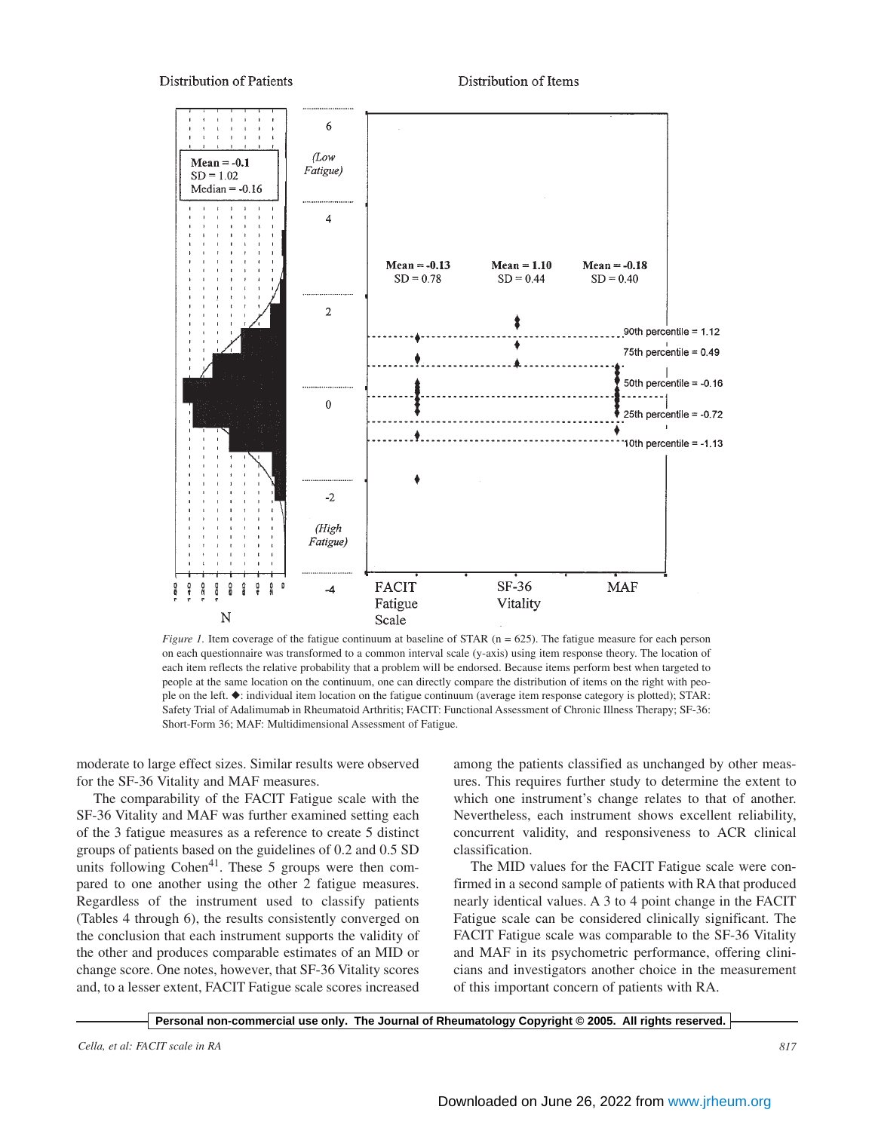**Distribution of Patients** 

Distribution of Items



*Figure 1.* Item coverage of the fatigue continuum at baseline of STAR (n = 625). The fatigue measure for each person on each questionnaire was transformed to a common interval scale (y-axis) using item response theory. The location of each item reflects the relative probability that a problem will be endorsed. Because items perform best when targeted to people at the same location on the continuum, one can directly compare the distribution of items on the right with people on the left. ◆: individual item location on the fatigue continuum (average item response category is plotted); STAR: Safety Trial of Adalimumab in Rheumatoid Arthritis; FACIT: Functional Assessment of Chronic Illness Therapy; SF-36: Short-Form 36; MAF: Multidimensional Assessment of Fatigue.

moderate to large effect sizes. Similar results were observed for the SF-36 Vitality and MAF measures.

The comparability of the FACIT Fatigue scale with the SF-36 Vitality and MAF was further examined setting each of the 3 fatigue measures as a reference to create 5 distinct groups of patients based on the guidelines of 0.2 and 0.5 SD units following  $Cohen<sup>41</sup>$ . These 5 groups were then compared to one another using the other 2 fatigue measures. Regardless of the instrument used to classify patients (Tables 4 through 6), the results consistently converged on the conclusion that each instrument supports the validity of the other and produces comparable estimates of an MID or change score. One notes, however, that SF-36 Vitality scores and, to a lesser extent, FACIT Fatigue scale scores increased

among the patients classified as unchanged by other measures. This requires further study to determine the extent to which one instrument's change relates to that of another. Nevertheless, each instrument shows excellent reliability, concurrent validity, and responsiveness to ACR clinical classification.

The MID values for the FACIT Fatigue scale were confirmed in a second sample of patients with RA that produced nearly identical values. A 3 to 4 point change in the FACIT Fatigue scale can be considered clinically significant. The FACIT Fatigue scale was comparable to the SF-36 Vitality and MAF in its psychometric performance, offering clinicians and investigators another choice in the measurement of this important concern of patients with RA.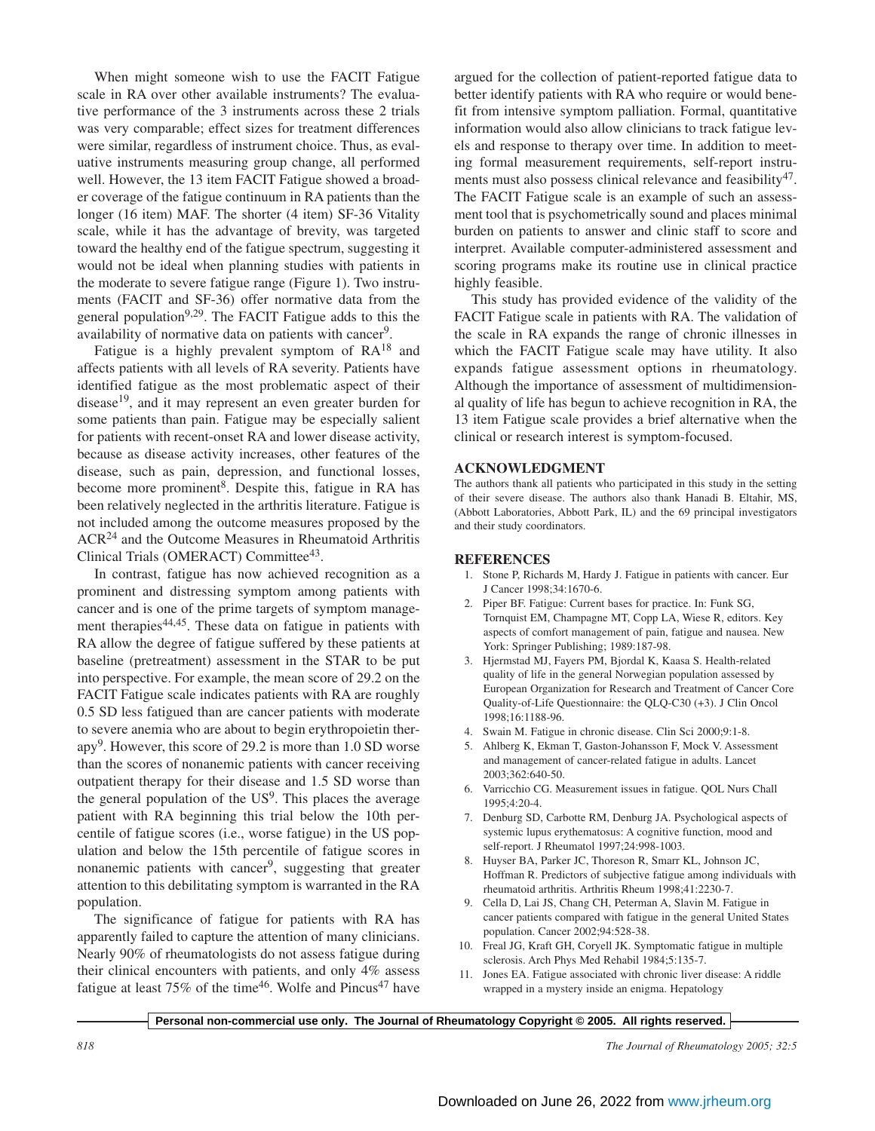When might someone wish to use the FACIT Fatigue scale in RA over other available instruments? The evaluative performance of the 3 instruments across these 2 trials was very comparable; effect sizes for treatment differences were similar, regardless of instrument choice. Thus, as evaluative instruments measuring group change, all performed well. However, the 13 item FACIT Fatigue showed a broader coverage of the fatigue continuum in RA patients than the longer (16 item) MAF. The shorter (4 item) SF-36 Vitality scale, while it has the advantage of brevity, was targeted toward the healthy end of the fatigue spectrum, suggesting it would not be ideal when planning studies with patients in the moderate to severe fatigue range (Figure 1). Two instruments (FACIT and SF-36) offer normative data from the general population<sup>9,29</sup>. The FACIT Fatigue adds to this the availability of normative data on patients with cancer<sup>9</sup>.

Fatigue is a highly prevalent symptom of  $RA^{18}$  and affects patients with all levels of RA severity. Patients have identified fatigue as the most problematic aspect of their disease19, and it may represent an even greater burden for some patients than pain. Fatigue may be especially salient for patients with recent-onset RA and lower disease activity, because as disease activity increases, other features of the disease, such as pain, depression, and functional losses, become more prominent<sup>8</sup>. Despite this, fatigue in RA has been relatively neglected in the arthritis literature. Fatigue is not included among the outcome measures proposed by the ACR<sup>24</sup> and the Outcome Measures in Rheumatoid Arthritis Clinical Trials (OMERACT) Committee43.

In contrast, fatigue has now achieved recognition as a prominent and distressing symptom among patients with cancer and is one of the prime targets of symptom management therapies<sup>44,45</sup>. These data on fatigue in patients with RA allow the degree of fatigue suffered by these patients at baseline (pretreatment) assessment in the STAR to be put into perspective. For example, the mean score of 29.2 on the FACIT Fatigue scale indicates patients with RA are roughly 0.5 SD less fatigued than are cancer patients with moderate to severe anemia who are about to begin erythropoietin therapy9. However, this score of 29.2 is more than 1.0 SD worse than the scores of nonanemic patients with cancer receiving outpatient therapy for their disease and 1.5 SD worse than the general population of the  $US^9$ . This places the average patient with RA beginning this trial below the 10th percentile of fatigue scores (i.e., worse fatigue) in the US population and below the 15th percentile of fatigue scores in nonanemic patients with cancer<sup>9</sup>, suggesting that greater attention to this debilitating symptom is warranted in the RA population.

The significance of fatigue for patients with RA has apparently failed to capture the attention of many clinicians. Nearly 90% of rheumatologists do not assess fatigue during their clinical encounters with patients, and only 4% assess fatigue at least 75% of the time<sup>46</sup>. Wolfe and Pincus<sup>47</sup> have

argued for the collection of patient-reported fatigue data to better identify patients with RA who require or would benefit from intensive symptom palliation. Formal, quantitative information would also allow clinicians to track fatigue levels and response to therapy over time. In addition to meeting formal measurement requirements, self-report instruments must also possess clinical relevance and feasibility<sup>47</sup>. The FACIT Fatigue scale is an example of such an assessment tool that is psychometrically sound and places minimal burden on patients to answer and clinic staff to score and interpret. Available computer-administered assessment and scoring programs make its routine use in clinical practice highly feasible.

This study has provided evidence of the validity of the FACIT Fatigue scale in patients with RA. The validation of the scale in RA expands the range of chronic illnesses in which the FACIT Fatigue scale may have utility. It also expands fatigue assessment options in rheumatology. Although the importance of assessment of multidimensional quality of life has begun to achieve recognition in RA, the 13 item Fatigue scale provides a brief alternative when the clinical or research interest is symptom-focused.

### **ACKNOWLEDGMENT**

The authors thank all patients who participated in this study in the setting of their severe disease. The authors also thank Hanadi B. Eltahir, MS, (Abbott Laboratories, Abbott Park, IL) and the 69 principal investigators and their study coordinators.

## **REFERENCES**

- 1. Stone P, Richards M, Hardy J. Fatigue in patients with cancer. Eur J Cancer 1998;34:1670-6.
- 2. Piper BF. Fatigue: Current bases for practice. In: Funk SG, Tornquist EM, Champagne MT, Copp LA, Wiese R, editors. Key aspects of comfort management of pain, fatigue and nausea. New York: Springer Publishing; 1989:187-98.
- 3. Hjermstad MJ, Fayers PM, Bjordal K, Kaasa S. Health-related quality of life in the general Norwegian population assessed by European Organization for Research and Treatment of Cancer Core Quality-of-Life Questionnaire: the QLQ-C30 (+3). J Clin Oncol 1998;16:1188-96.
- 4. Swain M. Fatigue in chronic disease. Clin Sci 2000;9:1-8.
- 5. Ahlberg K, Ekman T, Gaston-Johansson F, Mock V. Assessment and management of cancer-related fatigue in adults. Lancet 2003;362:640-50.
- 6. Varricchio CG. Measurement issues in fatigue. QOL Nurs Chall 1995;4:20-4.
- 7. Denburg SD, Carbotte RM, Denburg JA. Psychological aspects of systemic lupus erythematosus: A cognitive function, mood and self-report. J Rheumatol 1997;24:998-1003.
- 8. Huyser BA, Parker JC, Thoreson R, Smarr KL, Johnson JC, Hoffman R. Predictors of subjective fatigue among individuals with rheumatoid arthritis. Arthritis Rheum 1998;41:2230-7.
- 9. Cella D, Lai JS, Chang CH, Peterman A, Slavin M. Fatigue in cancer patients compared with fatigue in the general United States population. Cancer 2002;94:528-38.
- 10. Freal JG, Kraft GH, Coryell JK. Symptomatic fatigue in multiple sclerosis. Arch Phys Med Rehabil 1984;5:135-7.
- 11. Jones EA. Fatigue associated with chronic liver disease: A riddle wrapped in a mystery inside an enigma. Hepatology